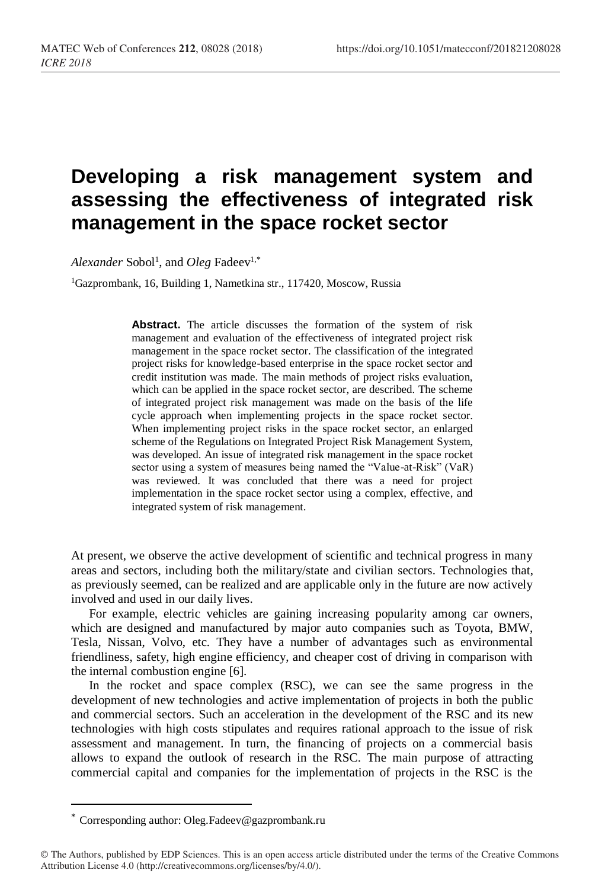## **Developing a risk management system and assessing the effectiveness of integrated risk management in the space rocket sector**

Alexander Sobol<sup>1</sup>, and Oleg Fadeev<sup>1,\*</sup>

<sup>1</sup>Gazprombank, 16, Building 1, Nametkina str., 117420, Moscow, Russia

**Abstract.** The article discusses the formation of the system of risk management and evaluation of the effectiveness of integrated project risk management in the space rocket sector. The classification of the integrated project risks for knowledge-based enterprise in the space rocket sector and credit institution was made. The main methods of project risks evaluation, which can be applied in the space rocket sector, are described. The scheme of integrated project risk management was made on the basis of the life cycle approach when implementing projects in the space rocket sector. When implementing project risks in the space rocket sector, an enlarged scheme of the Regulations on Integrated Project Risk Management System, was developed. An issue of integrated risk management in the space rocket sector using a system of measures being named the "Value-at-Risk" (VaR) was reviewed. It was concluded that there was a need for project implementation in the space rocket sector using a complex, effective, and integrated system of risk management.

At present, we observe the active development of scientific and technical progress in many areas and sectors, including both the military/state and civilian sectors. Technologies that, as previously seemed, can be realized and are applicable only in the future are now actively involved and used in our daily lives.

For example, electric vehicles are gaining increasing popularity among car owners, which are designed and manufactured by major auto companies such as Toyota, BMW, Tesla, Nissan, Volvo, etc. They have a number of advantages such as environmental friendliness, safety, high engine efficiency, and cheaper cost of driving in comparison with the internal combustion engine [6].

In the rocket and space complex (RSC), we can see the same progress in the development of new technologies and active implementation of projects in both the public and commercial sectors. Such an acceleration in the development of the RSC and its new technologies with high costs stipulates and requires rational approach to the issue of risk assessment and management. In turn, the financing of projects on a commercial basis allows to expand the outlook of research in the RSC. The main purpose of attracting commercial capital and companies for the implementation of projects in the RSC is the

 $\overline{a}$ 

<sup>\*</sup> Corresponding author: Oleg.Fadeev@gazprombank.ru

<sup>©</sup> The Authors, published by EDP Sciences. This is an open access article distributed under the terms of the Creative Commons Attribution License 4.0 (http://creativecommons.org/licenses/by/4.0/).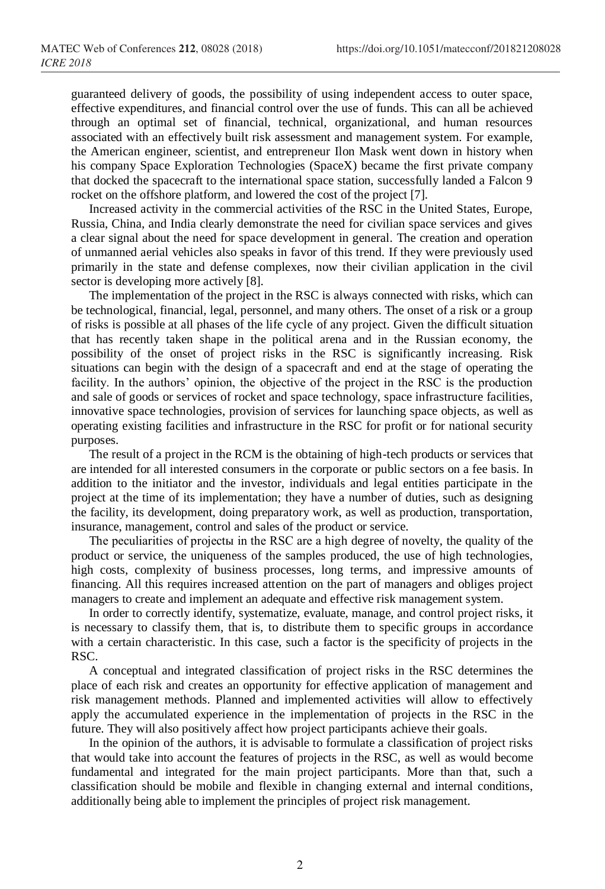guaranteed delivery of goods, the possibility of using independent access to outer space, effective expenditures, and financial control over the use of funds. This can all be achieved through an optimal set of financial, technical, organizational, and human resources associated with an effectively built risk assessment and management system. For example, the American engineer, scientist, and entrepreneur Ilon Mask went down in history when his company Space Exploration Technologies (SpaceX) became the first private company that docked the spacecraft to the international space station, successfully landed a Falcon 9 rocket on the offshore platform, and lowered the cost of the project [7].

Increased activity in the commercial activities of the RSC in the United States, Europe, Russia, China, and India clearly demonstrate the need for civilian space services and gives a clear signal about the need for space development in general. The creation and operation of unmanned aerial vehicles also speaks in favor of this trend. If they were previously used primarily in the state and defense complexes, now their civilian application in the civil sector is developing more actively [8].

The implementation of the project in the RSC is always connected with risks, which can be technological, financial, legal, personnel, and many others. The onset of a risk or a group of risks is possible at all phases of the life cycle of any project. Given the difficult situation that has recently taken shape in the political arena and in the Russian economy, the possibility of the onset of project risks in the RSC is significantly increasing. Risk situations can begin with the design of a spacecraft and end at the stage of operating the facility. In the authors' opinion, the objective of the project in the RSC is the production and sale of goods or services of rocket and space technology, space infrastructure facilities, innovative space technologies, provision of services for launching space objects, as well as operating existing facilities and infrastructure in the RSC for profit or for national security purposes.

The result of a project in the RCM is the obtaining of high-tech products or services that are intended for all interested consumers in the corporate or public sectors on a fee basis. In addition to the initiator and the investor, individuals and legal entities participate in the project at the time of its implementation; they have a number of duties, such as designing the facility, its development, doing preparatory work, as well as production, transportation, insurance, management, control and sales of the product or service.

The peculiarities of projectы in the RSC are a high degree of novelty, the quality of the product or service, the uniqueness of the samples produced, the use of high technologies, high costs, complexity of business processes, long terms, and impressive amounts of financing. All this requires increased attention on the part of managers and obliges project managers to create and implement an adequate and effective risk management system.

In order to correctly identify, systematize, evaluate, manage, and control project risks, it is necessary to classify them, that is, to distribute them to specific groups in accordance with a certain characteristic. In this case, such a factor is the specificity of projects in the RSC.

A conceptual and integrated classification of project risks in the RSC determines the place of each risk and creates an opportunity for effective application of management and risk management methods. Planned and implemented activities will allow to effectively apply the accumulated experience in the implementation of projects in the RSC in the future. They will also positively affect how project participants achieve their goals.

In the opinion of the authors, it is advisable to formulate a classification of project risks that would take into account the features of projects in the RSC, as well as would become fundamental and integrated for the main project participants. More than that, such a classification should be mobile and flexible in changing external and internal conditions, additionally being able to implement the principles of project risk management.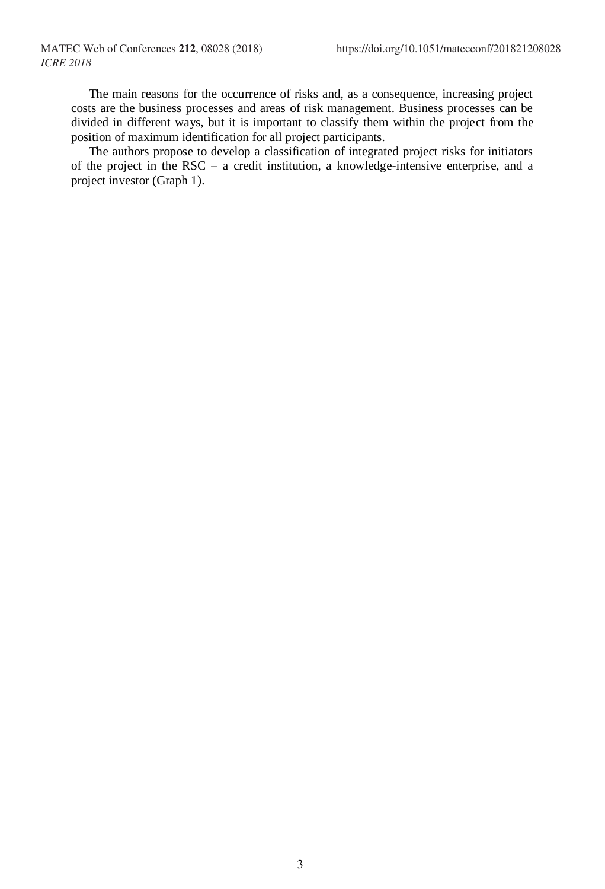The main reasons for the occurrence of risks and, as a consequence, increasing project costs are the business processes and areas of risk management. Business processes can be divided in different ways, but it is important to classify them within the project from the position of maximum identification for all project participants.

The authors propose to develop a classification of integrated project risks for initiators of the project in the RSC – a credit institution, a knowledge-intensive enterprise, and a project investor (Graph 1).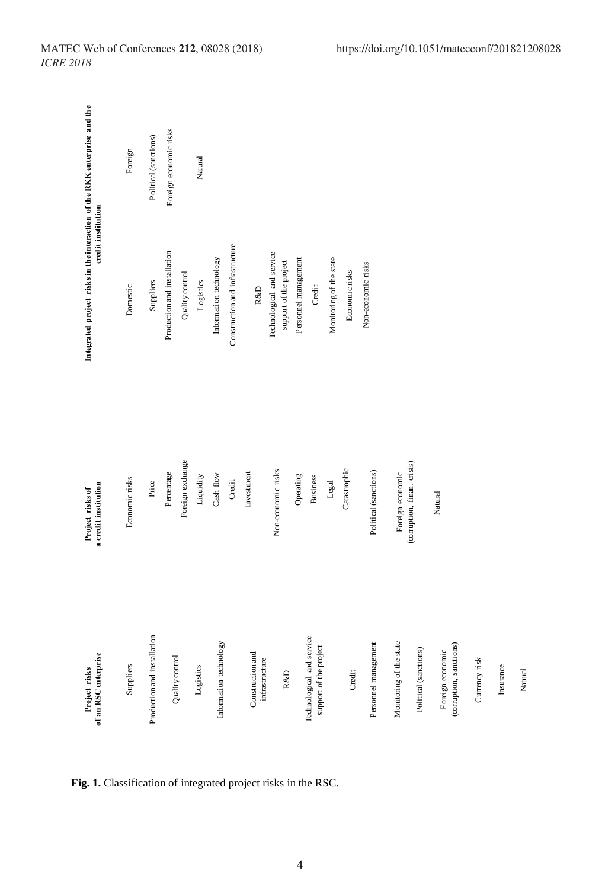| of an RSC enterprise<br>Project risks               | a credit institution<br>Project risks of | Integrated project risks in the interaction of the RKK enterprise and the<br>credit institution |                        |
|-----------------------------------------------------|------------------------------------------|-------------------------------------------------------------------------------------------------|------------------------|
| Suppliers                                           | Economic risks                           | Domestic                                                                                        | Foreign                |
| Production and installation                         | Price                                    | Suppliers                                                                                       | Political (sanctions)  |
|                                                     | Percentage                               | Production and installation                                                                     | Foreign economic risks |
| Quality control                                     | Foreign exchange                         | Quality control                                                                                 |                        |
| Logistics                                           | Liquidity                                | Logistics                                                                                       | Natural                |
| Information technology                              | $\operatorname{Cash}$ flow               | Information technology                                                                          |                        |
|                                                     | Credit                                   | Construction and infrastructure                                                                 |                        |
| Construction and                                    | Investment                               |                                                                                                 |                        |
| infrastructure                                      |                                          | R&D                                                                                             |                        |
| R&D                                                 | Non-economic risks                       | Technological and service<br>support of the project                                             |                        |
|                                                     | Operating                                | Personnel management                                                                            |                        |
| Technological and service<br>support of the project | <b>Business</b>                          | Credit                                                                                          |                        |
|                                                     | Legal                                    | Monitoring of the state                                                                         |                        |
| Credit                                              | Catastrophic                             | Economic risks                                                                                  |                        |
| Personnel management                                | Political (sanctions)                    | Non-economic risks                                                                              |                        |
| Monitoring of the state                             | Foreign economic                         |                                                                                                 |                        |
| Political (sanctions)                               | (corruption, finan. crisis)              |                                                                                                 |                        |
| (comuption, sanctions)<br>Foreign economic          | Natural                                  |                                                                                                 |                        |
| Currency risk                                       |                                          |                                                                                                 |                        |
| Insurance                                           |                                          |                                                                                                 |                        |
| Natural                                             |                                          |                                                                                                 |                        |

**Fig. 1.** Classification of integrated project risks in the RSC.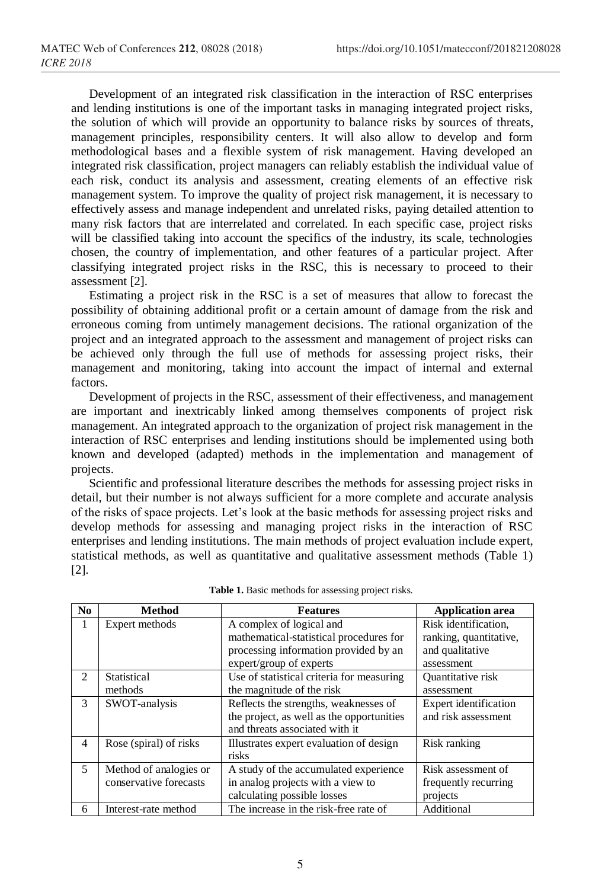Development of an integrated risk classification in the interaction of RSC enterprises and lending institutions is one of the important tasks in managing integrated project risks, the solution of which will provide an opportunity to balance risks by sources of threats, management principles, responsibility centers. It will also allow to develop and form methodological bases and a flexible system of risk management. Having developed an integrated risk classification, project managers can reliably establish the individual value of each risk, conduct its analysis and assessment, creating elements of an effective risk management system. To improve the quality of project risk management, it is necessary to effectively assess and manage independent and unrelated risks, paying detailed attention to many risk factors that are interrelated and correlated. In each specific case, project risks will be classified taking into account the specifics of the industry, its scale, technologies chosen, the country of implementation, and other features of a particular project. After classifying integrated project risks in the RSC, this is necessary to proceed to their assessment [2].

Estimating a project risk in the RSC is a set of measures that allow to forecast the possibility of obtaining additional profit or a certain amount of damage from the risk and erroneous coming from untimely management decisions. The rational organization of the project and an integrated approach to the assessment and management of project risks can be achieved only through the full use of methods for assessing project risks, their management and monitoring, taking into account the impact of internal and external factors.

Development of projects in the RSC, assessment of their effectiveness, and management are important and inextricably linked among themselves components of project risk management. An integrated approach to the organization of project risk management in the interaction of RSC enterprises and lending institutions should be implemented using both known and developed (adapted) methods in the implementation and management of projects.

Scientific and professional literature describes the methods for assessing project risks in detail, but their number is not always sufficient for a more complete and accurate analysis of the risks of space projects. Let's look at the basic methods for assessing project risks and develop methods for assessing and managing project risks in the interaction of RSC enterprises and lending institutions. The main methods of project evaluation include expert, statistical methods, as well as quantitative and qualitative assessment methods (Table 1) [2].

| No             | <b>Method</b>          | <b>Features</b>                           | <b>Application area</b> |
|----------------|------------------------|-------------------------------------------|-------------------------|
| 1              | Expert methods         | A complex of logical and                  | Risk identification.    |
|                |                        | mathematical-statistical procedures for   | ranking, quantitative,  |
|                |                        | processing information provided by an     | and qualitative         |
|                |                        | expert/group of experts                   | assessment              |
| $\mathfrak{D}$ | Statistical            | Use of statistical criteria for measuring | Quantitative risk       |
|                | methods                | the magnitude of the risk                 | assessment              |
| 3              | SWOT-analysis          | Reflects the strengths, weaknesses of     | Expert identification   |
|                |                        | the project, as well as the opportunities | and risk assessment     |
|                |                        | and threats associated with it            |                         |
| 4              | Rose (spiral) of risks | Illustrates expert evaluation of design   | Risk ranking            |
|                |                        | risks                                     |                         |
| 5              | Method of analogies or | A study of the accumulated experience     | Risk assessment of      |
|                | conservative forecasts | in analog projects with a view to         | frequently recurring    |
|                |                        | calculating possible losses               | projects                |
| 6              | Interest-rate method   | The increase in the risk-free rate of     | Additional              |

**Table 1.** Basic methods for assessing project risks.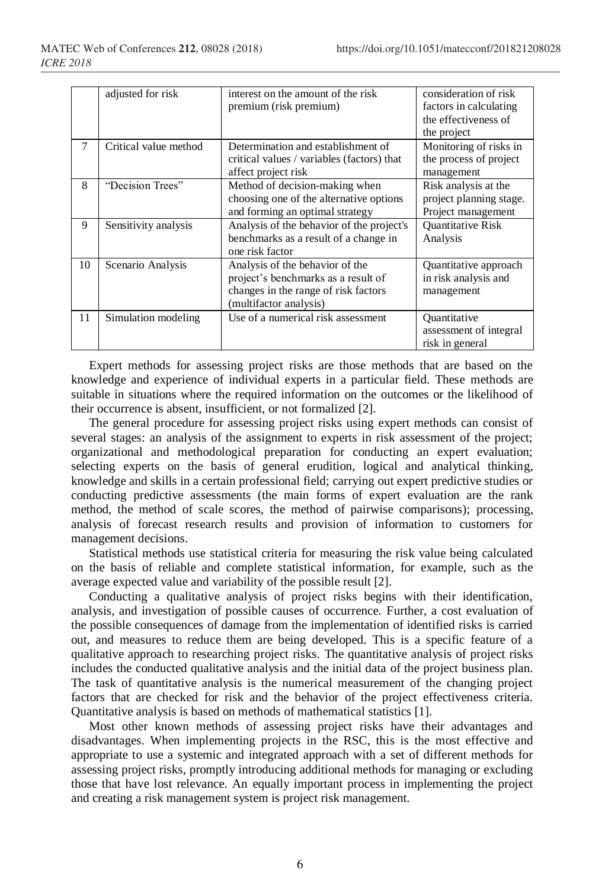|    | adjusted for risk     | interest on the amount of the risk<br>premium (risk premium)                                                                             | consideration of risk<br>factors in calculating<br>the effectiveness of<br>the project |
|----|-----------------------|------------------------------------------------------------------------------------------------------------------------------------------|----------------------------------------------------------------------------------------|
| 7  | Critical value method | Determination and establishment of<br>critical values / variables (factors) that<br>affect project risk                                  | Monitoring of risks in<br>the process of project<br>management                         |
| 8  | "Decision Trees"      | Method of decision-making when<br>choosing one of the alternative options<br>and forming an optimal strategy                             | Risk analysis at the<br>project planning stage.<br>Project management                  |
| 9  | Sensitivity analysis  | Analysis of the behavior of the project's<br>benchmarks as a result of a change in<br>one risk factor                                    | <b>Ouantitative Risk</b><br>Analysis                                                   |
| 10 | Scenario Analysis     | Analysis of the behavior of the<br>project's benchmarks as a result of<br>changes in the range of risk factors<br>(multifactor analysis) | Quantitative approach<br>in risk analysis and<br>management                            |
| 11 | Simulation modeling   | Use of a numerical risk assessment                                                                                                       | Ouantitative<br>assessment of integral<br>risk in general                              |

Expert methods for assessing project risks are those methods that are based on the knowledge and experience of individual experts in a particular field. These methods are suitable in situations where the required information on the outcomes or the likelihood of their occurrence is absent, insufficient, or not formalized [2].

The general procedure for assessing project risks using expert methods can consist of several stages: an analysis of the assignment to experts in risk assessment of the project; organizational and methodological preparation for conducting an expert evaluation; selecting experts on the basis of general erudition, logical and analytical thinking, knowledge and skills in a certain professional field; carrying out expert predictive studies or conducting predictive assessments (the main forms of expert evaluation are the rank method, the method of scale scores, the method of pairwise comparisons); processing, analysis of forecast research results and provision of information to customers for management decisions.

Statistical methods use statistical criteria for measuring the risk value being calculated on the basis of reliable and complete statistical information, for example, such as the average expected value and variability of the possible result [2].

Conducting a qualitative analysis of project risks begins with their identification, analysis, and investigation of possible causes of occurrence. Further, a cost evaluation of the possible consequences of damage from the implementation of identified risks is carried out, and measures to reduce them are being developed. This is a specific feature of a qualitative approach to researching project risks. The quantitative analysis of project risks includes the conducted qualitative analysis and the initial data of the project business plan. The task of quantitative analysis is the numerical measurement of the changing project factors that are checked for risk and the behavior of the project effectiveness criteria. Quantitative analysis is based on methods of mathematical statistics [1].

Most other known methods of assessing project risks have their advantages and disadvantages. When implementing projects in the RSC, this is the most effective and appropriate to use a systemic and integrated approach with a set of different methods for assessing project risks, promptly introducing additional methods for managing or excluding those that have lost relevance. An equally important process in implementing the project and creating a risk management system is project risk management.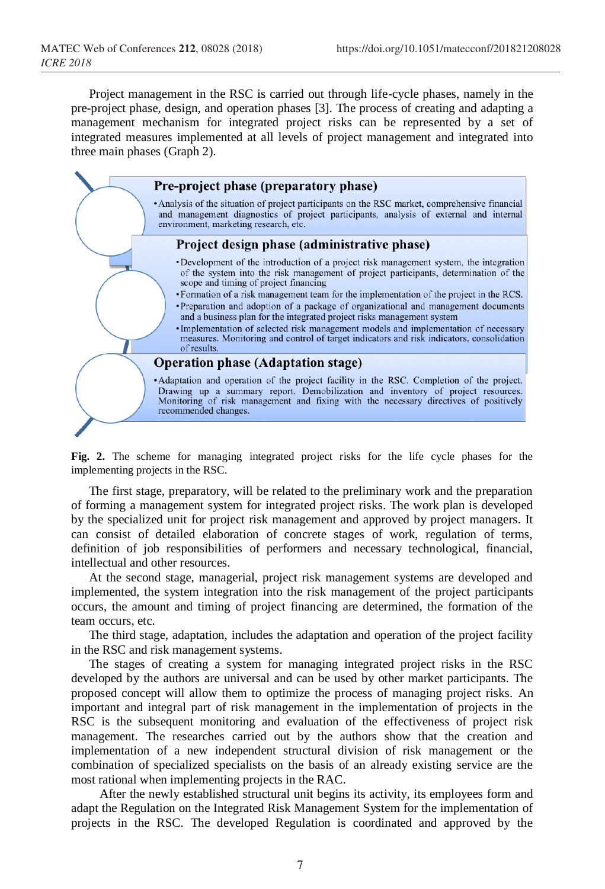Project management in the RSC is carried out through life-cycle phases, namely in the pre-project phase, design, and operation phases [3]. The process of creating and adapting a management mechanism for integrated project risks can be represented by a set of integrated measures implemented at all levels of project management and integrated into three main phases (Graph 2).



**Fig. 2.** The scheme for managing integrated project risks for the life cycle phases for the implementing projects in the RSC.

The first stage, preparatory, will be related to the preliminary work and the preparation of forming a management system for integrated project risks. The work plan is developed by the specialized unit for project risk management and approved by project managers. It can consist of detailed elaboration of concrete stages of work, regulation of terms, definition of job responsibilities of performers and necessary technological, financial, intellectual and other resources.

At the second stage, managerial, project risk management systems are developed and implemented, the system integration into the risk management of the project participants occurs, the amount and timing of project financing are determined, the formation of the team occurs, etc.

The third stage, adaptation, includes the adaptation and operation of the project facility in the RSC and risk management systems.

The stages of creating a system for managing integrated project risks in the RSC developed by the authors are universal and can be used by other market participants. The proposed concept will allow them to optimize the process of managing project risks. An important and integral part of risk management in the implementation of projects in the RSC is the subsequent monitoring and evaluation of the effectiveness of project risk management. The researches carried out by the authors show that the creation and implementation of a new independent structural division of risk management or the combination of specialized specialists on the basis of an already existing service are the most rational when implementing projects in the RAC.

After the newly established structural unit begins its activity, its employees form and adapt the Regulation on the Integrated Risk Management System for the implementation of projects in the RSC. The developed Regulation is coordinated and approved by the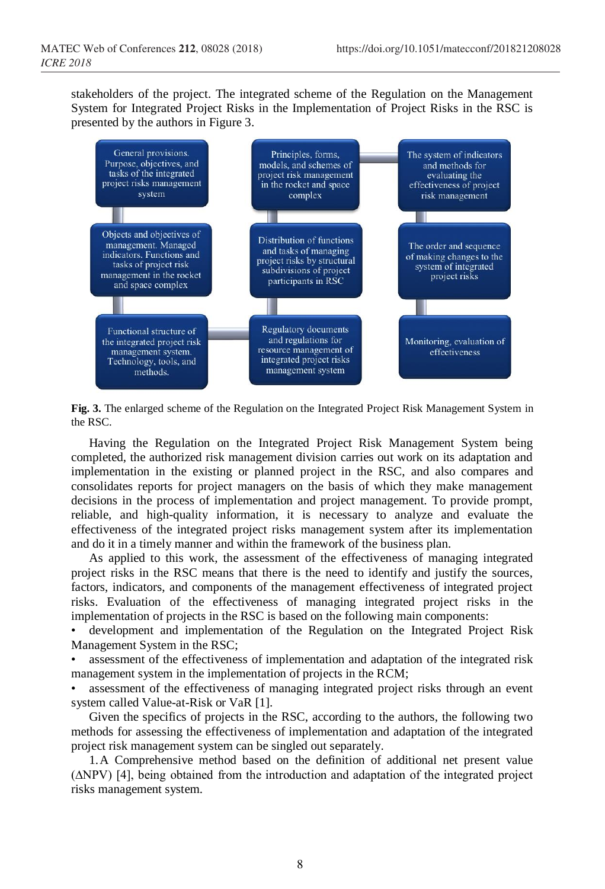stakeholders of the project. The integrated scheme of the Regulation on the Management System for Integrated Project Risks in the Implementation of Project Risks in the RSC is presented by the authors in Figure 3.



**Fig. 3.** The enlarged scheme of the Regulation on the Integrated Project Risk Management System in the RSC.

Having the Regulation on the Integrated Project Risk Management System being completed, the authorized risk management division carries out work on its adaptation and implementation in the existing or planned project in the RSC, and also compares and consolidates reports for project managers on the basis of which they make management decisions in the process of implementation and project management. To provide prompt, reliable, and high-quality information, it is necessary to analyze and evaluate the effectiveness of the integrated project risks management system after its implementation and do it in a timely manner and within the framework of the business plan.

As applied to this work, the assessment of the effectiveness of managing integrated project risks in the RSC means that there is the need to identify and justify the sources, factors, indicators, and components of the management effectiveness of integrated project risks. Evaluation of the effectiveness of managing integrated project risks in the implementation of projects in the RSC is based on the following main components:

• development and implementation of the Regulation on the Integrated Project Risk Management System in the RSC;

assessment of the effectiveness of implementation and adaptation of the integrated risk management system in the implementation of projects in the RCM;

assessment of the effectiveness of managing integrated project risks through an event system called Value-at-Risk or VaR [1].

Given the specifics of projects in the RSC, according to the authors, the following two methods for assessing the effectiveness of implementation and adaptation of the integrated project risk management system can be singled out separately.

1.A Comprehensive method based on the definition of additional net present value (∆NPV) [4], being obtained from the introduction and adaptation of the integrated project risks management system.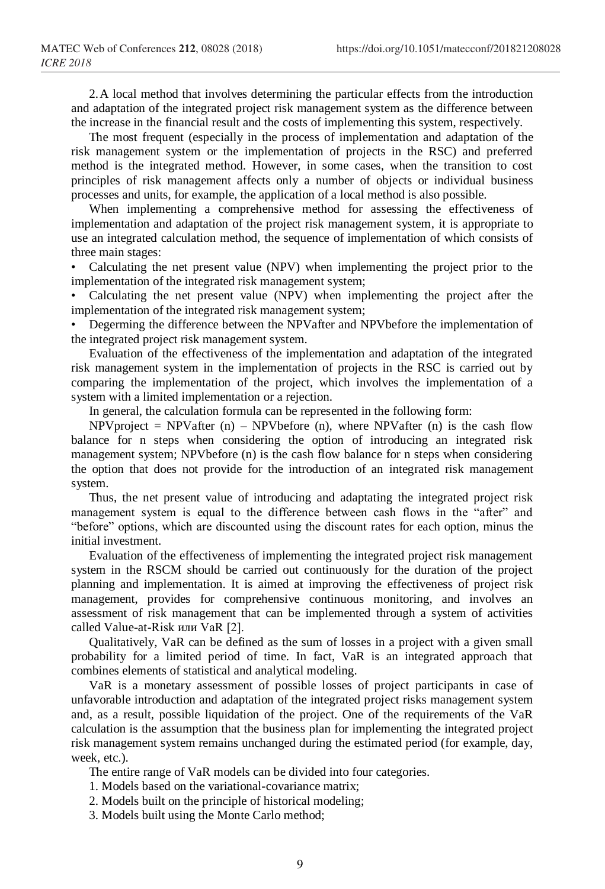2.A local method that involves determining the particular effects from the introduction and adaptation of the integrated project risk management system as the difference between the increase in the financial result and the costs of implementing this system, respectively.

The most frequent (especially in the process of implementation and adaptation of the risk management system or the implementation of projects in the RSC) and preferred method is the integrated method. However, in some cases, when the transition to cost principles of risk management affects only a number of objects or individual business processes and units, for example, the application of a local method is also possible.

When implementing a comprehensive method for assessing the effectiveness of implementation and adaptation of the project risk management system, it is appropriate to use an integrated calculation method, the sequence of implementation of which consists of three main stages:

Calculating the net present value (NPV) when implementing the project prior to the implementation of the integrated risk management system;

• Calculating the net present value (NPV) when implementing the project after the implementation of the integrated risk management system;

• Degerming the difference between the NPVafter and NPVbefore the implementation of the integrated project risk management system.

Evaluation of the effectiveness of the implementation and adaptation of the integrated risk management system in the implementation of projects in the RSC is carried out by comparing the implementation of the project, which involves the implementation of a system with a limited implementation or a rejection.

In general, the calculation formula can be represented in the following form:

NPVproject = NPVafter (n) – NPVbefore (n), where NPVafter (n) is the cash flow balance for n steps when considering the option of introducing an integrated risk management system; NPVbefore (n) is the cash flow balance for n steps when considering the option that does not provide for the introduction of an integrated risk management system.

Thus, the net present value of introducing and adaptating the integrated project risk management system is equal to the difference between cash flows in the "after" and "before" options, which are discounted using the discount rates for each option, minus the initial investment.

Evaluation of the effectiveness of implementing the integrated project risk management system in the RSCM should be carried out continuously for the duration of the project planning and implementation. It is aimed at improving the effectiveness of project risk management, provides for comprehensive continuous monitoring, and involves an assessment of risk management that can be implemented through a system of activities called Value-at-Risk или VaR [2].

Qualitatively, VaR can be defined as the sum of losses in a project with a given small probability for a limited period of time. In fact, VaR is an integrated approach that combines elements of statistical and analytical modeling.

VaR is a monetary assessment of possible losses of project participants in case of unfavorable introduction and adaptation of the integrated project risks management system and, as a result, possible liquidation of the project. One of the requirements of the VaR calculation is the assumption that the business plan for implementing the integrated project risk management system remains unchanged during the estimated period (for example, day, week, etc.).

The entire range of VaR models can be divided into four categories.

1. Models based on the variational-covariance matrix;

2. Models built on the principle of historical modeling;

3. Models built using the Monte Carlo method;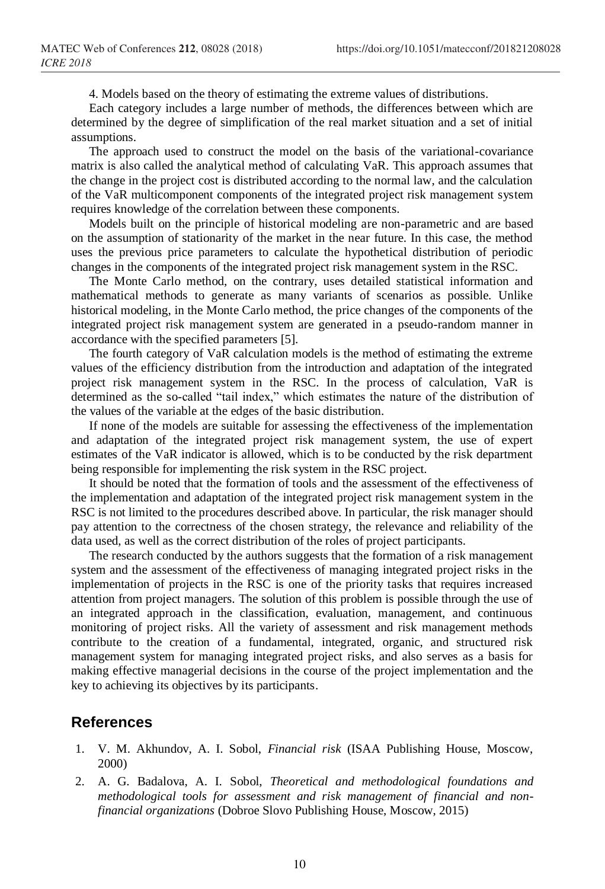4. Models based on the theory of estimating the extreme values of distributions.

Each category includes a large number of methods, the differences between which are determined by the degree of simplification of the real market situation and a set of initial assumptions.

The approach used to construct the model on the basis of the variational-covariance matrix is also called the analytical method of calculating VaR. This approach assumes that the change in the project cost is distributed according to the normal law, and the calculation of the VaR multicomponent components of the integrated project risk management system requires knowledge of the correlation between these components.

Models built on the principle of historical modeling are non-parametric and are based on the assumption of stationarity of the market in the near future. In this case, the method uses the previous price parameters to calculate the hypothetical distribution of periodic changes in the components of the integrated project risk management system in the RSC.

The Monte Carlo method, on the contrary, uses detailed statistical information and mathematical methods to generate as many variants of scenarios as possible. Unlike historical modeling, in the Monte Carlo method, the price changes of the components of the integrated project risk management system are generated in a pseudo-random manner in accordance with the specified parameters [5].

The fourth category of VaR calculation models is the method of estimating the extreme values of the efficiency distribution from the introduction and adaptation of the integrated project risk management system in the RSC. In the process of calculation, VaR is determined as the so-called "tail index," which estimates the nature of the distribution of the values of the variable at the edges of the basic distribution.

If none of the models are suitable for assessing the effectiveness of the implementation and adaptation of the integrated project risk management system, the use of expert estimates of the VaR indicator is allowed, which is to be conducted by the risk department being responsible for implementing the risk system in the RSC project.

It should be noted that the formation of tools and the assessment of the effectiveness of the implementation and adaptation of the integrated project risk management system in the RSC is not limited to the procedures described above. In particular, the risk manager should pay attention to the correctness of the chosen strategy, the relevance and reliability of the data used, as well as the correct distribution of the roles of project participants.

The research conducted by the authors suggests that the formation of a risk management system and the assessment of the effectiveness of managing integrated project risks in the implementation of projects in the RSC is one of the priority tasks that requires increased attention from project managers. The solution of this problem is possible through the use of an integrated approach in the classification, evaluation, management, and continuous monitoring of project risks. All the variety of assessment and risk management methods contribute to the creation of a fundamental, integrated, organic, and structured risk management system for managing integrated project risks, and also serves as a basis for making effective managerial decisions in the course of the project implementation and the key to achieving its objectives by its participants.

## **References**

- 1. V. M. Akhundov, A. I. Sobol, *Financial risk* (ISAA Publishing House, Moscow, 2000)
- 2. A. G. Badalova, A. I. Sobol, *Theoretical and methodological foundations and methodological tools for assessment and risk management of financial and nonfinancial organizations* (Dobroe Slovo Publishing House, Moscow, 2015)